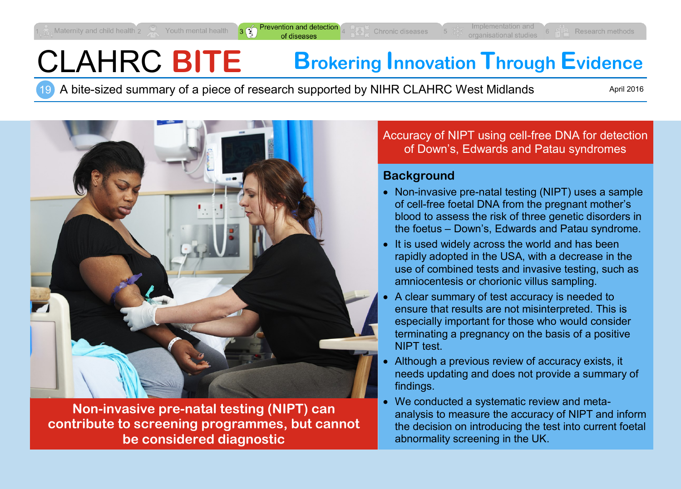$3 \n\binom{4}{1}$ 

# CLAHRC **BITE Brokering Innovation Through Evidence**

19 A bite-sized summary of a piece of research supported by NIHR CLAHRC West Midlands

April 2016



**Non-invasive pre-natal testing (NIPT) can contribute to screening programmes, but cannot be considered diagnostic**

### Accuracy of NIPT using cell-free DNA for detection of Down's, Edwards and Patau syndromes

### **Background**

- Non-invasive pre-natal testing (NIPT) uses a sample of cell-free foetal DNA from the pregnant mother's blood to assess the risk of three genetic disorders in the foetus – Down's, Edwards and Patau syndrome.
- It is used widely across the world and has been rapidly adopted in the USA, with a decrease in the use of combined tests and invasive testing, such as amniocentesis or chorionic villus sampling.
- A clear summary of test accuracy is needed to ensure that results are not misinterpreted. This is especially important for those who would consider terminating a pregnancy on the basis of a positive NIPT test.
- Although a previous review of accuracy exists, it needs updating and does not provide a summary of findings.
- We conducted a systematic review and metaanalysis to measure the accuracy of NIPT and inform the decision on introducing the test into current foetal abnormality screening in the UK.